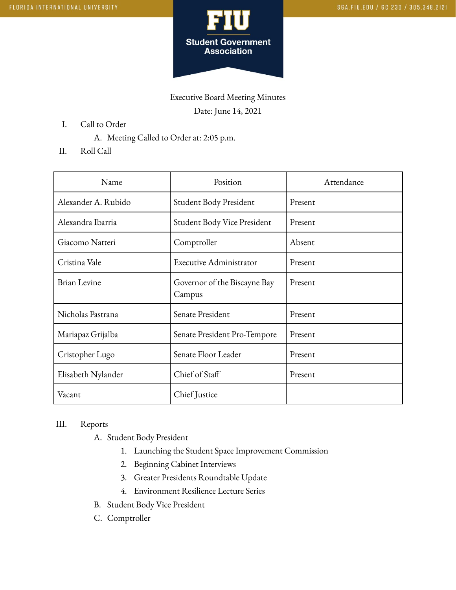

Executive Board Meeting Minutes Date: June 14, 2021

- I. Call to Order
	- A. Meeting Called to Order at: 2:05 p.m.
- II. Roll Call

| Name                | Position                               | Attendance |
|---------------------|----------------------------------------|------------|
| Alexander A. Rubido | Student Body President                 | Present    |
| Alexandra Ibarria   | Student Body Vice President            | Present    |
| Giacomo Natteri     | Comptroller                            | Absent     |
| Cristina Vale       | Executive Administrator                | Present    |
| <b>Brian Levine</b> | Governor of the Biscayne Bay<br>Campus | Present    |
| Nicholas Pastrana   | Senate President                       | Present    |
| Mariapaz Grijalba   | Senate President Pro-Tempore           | Present    |
| Cristopher Lugo     | Senate Floor Leader                    | Present    |
| Elisabeth Nylander  | Chief of Staff                         | Present    |
| Vacant              | Chief Justice                          |            |

## III. Reports

- A. Student Body President
	- 1. Launching the Student Space Improvement Commission
	- 2. Beginning Cabinet Interviews
	- 3. Greater Presidents Roundtable Update
	- 4. Environment Resilience Lecture Series
- B. Student Body Vice President
- C. Comptroller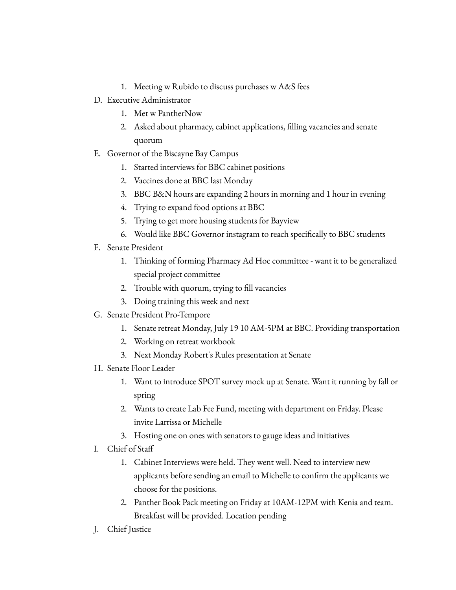- 1. Meeting w Rubido to discuss purchases w A&S fees
- D. Executive Administrator
	- 1. Met w PantherNow
	- 2. Asked about pharmacy, cabinet applications, filling vacancies and senate quorum
- E. Governor of the Biscayne Bay Campus
	- 1. Started interviews for BBC cabinet positions
	- 2. Vaccines done at BBC last Monday
	- 3. BBC B&N hours are expanding 2 hours in morning and 1 hour in evening
	- 4. Trying to expand food options at BBC
	- 5. Trying to get more housing students for Bayview
	- 6. Would like BBC Governor instagram to reach specifically to BBC students
- F. Senate President
	- 1. Thinking of forming Pharmacy Ad Hoc committee want it to be generalized special project committee
	- 2. Trouble with quorum, trying to fill vacancies
	- 3. Doing training this week and next
- G. Senate President Pro-Tempore
	- 1. Senate retreat Monday, July 19 10 AM-5PM at BBC. Providing transportation
	- 2. Working on retreat workbook
	- 3. Next Monday Robert's Rules presentation at Senate
- H. Senate Floor Leader
	- 1. Want to introduce SPOT survey mock up at Senate. Want it running by fall or spring
	- 2. Wants to create Lab Fee Fund, meeting with department on Friday. Please invite Larrissa or Michelle
	- 3. Hosting one on ones with senators to gauge ideas and initiatives
- I. Chief of Staff
	- 1. Cabinet Interviews were held. They went well. Need to interview new applicants before sending an email to Michelle to confirm the applicants we choose for the positions.
	- 2. Panther Book Pack meeting on Friday at 10AM-12PM with Kenia and team. Breakfast will be provided. Location pending
- J. Chief Justice